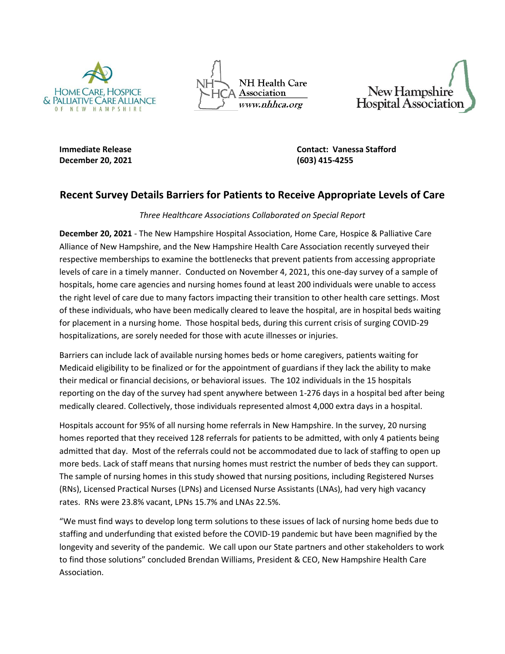

**NH Health Care** Association www.nhhca.org



**December 20, 2021 (603) 415-4255**

**Immediate Release Contact: Vanessa Stafford**

## **Recent Survey Details Barriers for Patients to Receive Appropriate Levels of Care**

## *Three Healthcare Associations Collaborated on Special Report*

**December 20, 2021** - The New Hampshire Hospital Association, Home Care, Hospice & Palliative Care Alliance of New Hampshire, and the New Hampshire Health Care Association recently surveyed their respective memberships to examine the bottlenecks that prevent patients from accessing appropriate levels of care in a timely manner. Conducted on November 4, 2021, this one-day survey of a sample of hospitals, home care agencies and nursing homes found at least 200 individuals were unable to access the right level of care due to many factors impacting their transition to other health care settings. Most of these individuals, who have been medically cleared to leave the hospital, are in hospital beds waiting for placement in a nursing home. Those hospital beds, during this current crisis of surging COVID-29 hospitalizations, are sorely needed for those with acute illnesses or injuries.

Barriers can include lack of available nursing homes beds or home caregivers, patients waiting for Medicaid eligibility to be finalized or for the appointment of guardians if they lack the ability to make their medical or financial decisions, or behavioral issues. The 102 individuals in the 15 hospitals reporting on the day of the survey had spent anywhere between 1-276 days in a hospital bed after being medically cleared. Collectively, those individuals represented almost 4,000 extra days in a hospital.

Hospitals account for 95% of all nursing home referrals in New Hampshire. In the survey, 20 nursing homes reported that they received 128 referrals for patients to be admitted, with only 4 patients being admitted that day. Most of the referrals could not be accommodated due to lack of staffing to open up more beds. Lack of staff means that nursing homes must restrict the number of beds they can support. The sample of nursing homes in this study showed that nursing positions, including Registered Nurses (RNs), Licensed Practical Nurses (LPNs) and Licensed Nurse Assistants (LNAs), had very high vacancy rates. RNs were 23.8% vacant, LPNs 15.7% and LNAs 22.5%.

"We must find ways to develop long term solutions to these issues of lack of nursing home beds due to staffing and underfunding that existed before the COVID-19 pandemic but have been magnified by the longevity and severity of the pandemic. We call upon our State partners and other stakeholders to work to find those solutions" concluded Brendan Williams, President & CEO, New Hampshire Health Care Association.